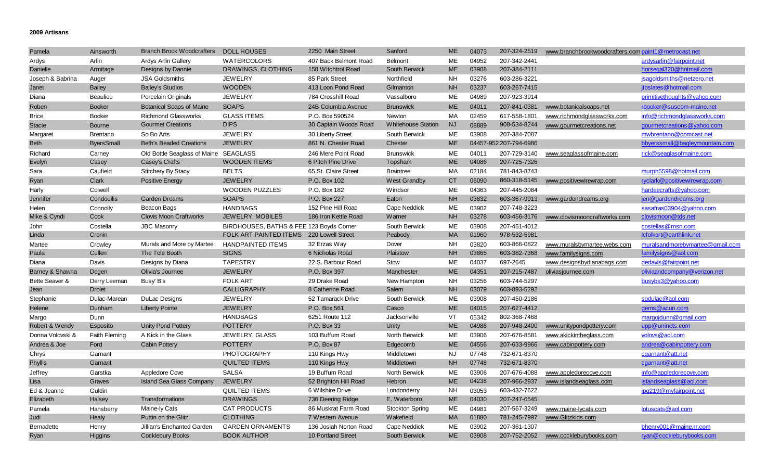## **2009 Artisans**

| Pamela           | Ainsworth         | Branch Brook Woodcrafters DOLL HOUSES |                                          | 2250 Main Street       | Sanford                   | <b>ME</b>     | 04073 | 207-324-2519           | www.branchbrookwoodcrafters.com paint1@metrocast.net |                                 |
|------------------|-------------------|---------------------------------------|------------------------------------------|------------------------|---------------------------|---------------|-------|------------------------|------------------------------------------------------|---------------------------------|
| Ardys            | Arlin             | <b>Ardys Arlin Gallery</b>            | <b>WATERCOLORS</b>                       | 407 Back Belmont Road  | <b>Belmont</b>            | ME            | 04952 | 207-342-2441           |                                                      | ardysarlin@fairpoint.net        |
| Danielle         | Armitage          | Designs by Dannie                     | DRAWINGS, CLOTHING                       | 158 Witchtrot Road     | South Berwick             | <b>ME</b>     | 03908 | 207-384-2111           |                                                      | horsegal320@hotmail.com         |
| Joseph & Sabrina | Auger             | <b>JSA Goldsmiths</b>                 | <b>JEWELRY</b>                           | 85 Park Street         | Northfield                | <b>NH</b>     | 03276 | 603-286-3221           |                                                      | jsagoldsmiths@netzero.net       |
| Janet            | <b>Bailey</b>     | <b>Bailey's Studios</b>               | <b>WOODEN</b>                            | 413 Loon Pond Road     | Gilmanton                 | <b>NH</b>     | 03237 | 603-267-7415           |                                                      | itbslates@hotmail.com           |
| Diana            | <b>Beaulieu</b>   | Porcelain Originals                   | <b>JEWELRY</b>                           | 784 Crosshill Road     | Vassalboro                | ME            | 04989 | 207-923-3914           |                                                      | primitivethoughts@yahoo.com     |
| Roben            | <b>Booker</b>     | <b>Botanical Soaps of Maine</b>       | <b>SOAPS</b>                             | 24B Columbia Avenue    | <b>Brunswick</b>          | <b>ME</b>     | 04011 | 207-841-0381           | www.botanicalsoaps.net                               | rbooker@suscom-maine.net        |
| <b>Brice</b>     | <b>Booker</b>     | <b>Richmond Glassworks</b>            | <b>GLASS ITEMS</b>                       | P.O. Box 590524        | Newton                    | МA            | 02459 | 617-558-1801           | www.richmondglassworks.com                           | info@richmondglassworks.com     |
| <b>Stacie</b>    | Bourne            | <b>Gourmet Creations</b>              | <b>DIPS</b>                              | 30 Captain Woods Road  | <b>Whitehouse Station</b> | $\mathsf{NJ}$ | 08889 | 908-534-8244           | www.gourmetcreations.net                             | gourmetcreations@yahoo.com      |
| Margaret         | Brentano          | So Bo Arts                            | <b>JEWELRY</b>                           | 30 Liberty Street      | South Berwick             | ME            | 03908 | 207-384-7087           |                                                      | mwbrentano@comcast.net          |
| Beth             | <b>ByersSmall</b> | <b>Beth's Beaded Creations</b>        | <b>JEWELRY</b>                           | 861 N. Chester Road    | Chester                   | $ME$          |       | 04457-952 207-794-6986 |                                                      | bbyerssmall@bagleymountain.com  |
| Richard          | Carney            | Old Bottle Seaglass of Maine SEAGLASS |                                          | 246 Mere Point Road    | <b>Brunswick</b>          | ME            | 04011 | 207-729-3140           | www.seaglassofmaine.com                              | rick@seaglasofmaine.com         |
| Evelyn           | Casey             | Casey's Crafts                        | <b>WOODEN ITEMS</b>                      | 6 Pitch Pine Drive     | Topsham                   | <b>ME</b>     | 04086 | 207-725-7326           |                                                      |                                 |
| Sara             | Caufield          | <b>Stitchery By Stacy</b>             | <b>BELTS</b>                             | 65 St. Claire Street   | <b>Braintree</b>          | МA            | 02184 | 781-843-8743           |                                                      | murph5598@hotmail.com           |
| Ryan             | Clark             | <b>Positive Energy</b>                | <b>JEWELRY</b>                           | P.O. Box 102           | <b>West Grandby</b>       | <b>CT</b>     | 06090 | 860-318-5145           | www.positivewirewrap.com                             | ryclark@positivewirewrap.com    |
| Harly            | Colwell           |                                       | <b>WOODEN PUZZLES</b>                    | P.O. Box 182           | Windsor                   | ME            | 04363 | 207-445-2084           |                                                      | hardeecrafts@yahoo.com          |
| Jennifer         | Condouilis        | <b>Garden Dreams</b>                  | <b>SOAPS</b>                             | P.O. Box 227           | Eaton                     | <b>NH</b>     | 03832 | 603-367-9913           | www.gardendreams.org                                 | jen@gardendreams.org            |
| Helen            | Connolly          | Beacon Bags                           | <b>HANDBAGS</b>                          | 152 Pine Hill Road     | Cape Neddick              | ME            | 03902 | 207-748-3223           |                                                      | sasafras03904@yahoo.com         |
| Mike & Cyndi     | Cook              | <b>Clovis Moon Craftworks</b>         | JEWELRY, MOBILES                         | 186 Iron Kettle Road   | Warner                    | <b>NH</b>     | 03278 | 603-456-3176           | www.clovismooncraftworks.com                         | clovismoon@tds.net              |
| John             | Costella          | <b>JBC Masonry</b>                    | BIRDHOUSES, BATHS & FEE 123 Boyds Corner |                        | South Berwick             | ME            | 03908 | 207-451-4012           |                                                      | costellas@msn.com               |
| Linda            | Cronin            |                                       | FOLK ART PAINTED ITEMS 220 Lowell Street |                        | Peabody                   | <b>MA</b>     | 01960 | 978-532-5981           |                                                      | Icfolkart@earthlink.net         |
| Martee           | Crowley           | Murals and More by Martee             | <b>HANDPAINTED ITEMS</b>                 | 32 Erzas Way           | Dover                     | <b>NH</b>     | 03820 | 603-866-0822           | www.muralsbymartee.webs.com                          | muralsandmorebymartee@gmail.com |
| Paula            | Cullen            | The Tole Booth                        | <b>SIGNS</b>                             | 6 Nicholas Road        | Plaistow                  | <b>NH</b>     | 03865 | 603-382-7368           | www.familysigns.com                                  | familysigns@aol.com             |
| Diana            | Davis             | Designs by Diana                      | <b>TAPESTRY</b>                          | 22 S. Barbour Road     | Stow                      | ME            | 04037 | 697-2645               | www.designsbydianabags.com                           | dedavis@fairpoint.net           |
| Barney & Shawna  | Degen             | Olivia's Journee                      | <b>JEWELRY</b>                           | P.O. Box 397           | Manchester                | <b>ME</b>     | 04351 | 207-215-7487           | oliviasjournee.com                                   | oliviaandcompany@verizon.net    |
| Bette Seaver &   | Derry Leeman      | Busy' B's                             | <b>FOLK ART</b>                          | 29 Drake Road          | New Hampton               | <b>NH</b>     | 03256 | 603-744-5297           |                                                      | busybs3@yahoo.com               |
| Jean             | <b>Drolet</b>     |                                       | <b>CALLIGRAPHY</b>                       | 8 Catherine Road       | Salem                     | <b>NH</b>     | 03079 | 603-893-5292           |                                                      |                                 |
| Stephanie        | Dulac-Marean      | <b>DuLac Designs</b>                  | <b>JEWELRY</b>                           | 52 Tamarack Drive      | South Berwick             | <b>ME</b>     | 03908 | 207-450-2186           |                                                      | sgdulac@aol.com                 |
| Helene           | Dunham            | <b>Liberty Pointe</b>                 | <b>JEWELRY</b>                           | P.O. Box 561           | Casco                     | <b>ME</b>     | 04015 | 207-627-4412           |                                                      | gems@acun.com                   |
| Margo            | Dunn              |                                       | <b>HANDBAGS</b>                          | 6251 Route 112         | Jacksonville              | VT            | 05342 | 802-368-7468           |                                                      | margoidunn@gmail.com            |
| Robert & Wendy   | Esposito          | <b>Unity Pond Pottery</b>             | <b>POTTERY</b>                           | P.O. Box 33            | Unity                     | $ME$          | 04988 | 207-948-2400           | www.unitypondpottery.com                             | upp@uninets.com                 |
| Donna Volovski & | Faith Fleming     | A Kick in the Glass                   | JEWELRY, GLASS                           | 103 Buffum Road        | North Berwick             | ME            | 03906 | 207-676-8581           | www.akickintheglass.com                              | volovs@aol.com                  |
| Andrea & Joe     | Ford              | <b>Cabin Pottery</b>                  | <b>POTTERY</b>                           | P.O. Box 87            | Edgecomb                  | <b>ME</b>     | 04556 | 207-633-9966           | www.cabinpottery.com                                 | andrea@cabinpottery.com         |
| Chrys            | Garnant           |                                       | <b>PHOTOGRAPHY</b>                       | 110 Kings Hwy          | Middletown                | <b>NJ</b>     | 07748 | 732-671-8370           |                                                      | cgarnant@att.net                |
| Phyllis          | Garnant           |                                       | <b>QUILTED ITEMS</b>                     | 110 Kings Hwy          | Middletown                | <b>NH</b>     | 07748 | 732-671-8370           |                                                      | cgarnant@att.net                |
| Jeffrey          | Garstka           | Appledore Cove                        | SALSA                                    | 19 Buffum Road         | <b>North Berwick</b>      | ME            | 03906 | 207-676-4088           | www.appledorecove.com                                | info@appledorecove.com          |
| Lisa             | Graves            | <b>Island Sea Glass Company</b>       | <b>JEWELRY</b>                           | 52 Brighton Hill Road  | Hebron                    | <b>ME</b>     | 04238 | 207-966-2937           | www.islandseaglass.com                               | islandseaglass@aol.com          |
| Ed & Jeanne      | Guldin            |                                       | <b>QUILTED ITEMS</b>                     | 6 Wilshire Drive       | Londonderry               | <b>NH</b>     | 03053 | 603-432-7622           |                                                      | jpg219@myfairpoint.net          |
| Elizabeth        | Halsey            | Transformations                       | <b>DRAWINGS</b>                          | 736 Deering Ridge      | E. Waterboro              | <b>ME</b>     | 04030 | 207-247-6545           |                                                      |                                 |
| Pamela           | Hansberry         | Maine-ly Cats                         | CAT PRODUCTS                             | 86 Muskrat Farm Road   | <b>Stockton Spring</b>    | ME            | 04981 | 207-567-3249           | www.maine-lycats.com                                 | lotuscats@aol.com               |
| Judi             | Healy             | Puttin on the Glitz                   | <b>CLOTHING</b>                          | 7 Western Avenue       | Wakefield                 | MA            | 01880 | 781-245-7997           | www.Glitzkids.com                                    |                                 |
| Bernadette       | Henry             | Jillian's Enchanted Garden            | <b>GARDEN ORNAMENTS</b>                  | 136 Josiah Norton Road | Cape Neddick              | ME            | 03902 | 207-361-1307           |                                                      | bhenry001@maine.rr.com          |
| Ryan             | Higgins           | <b>Cocklebury Books</b>               | <b>BOOK AUTHOR</b>                       | 10 Portland Street     | South Berwick             | <b>ME</b>     | 03908 | 207-752-2052           | www.cockleburybooks.com                              | ryan@cockleburybooks.com        |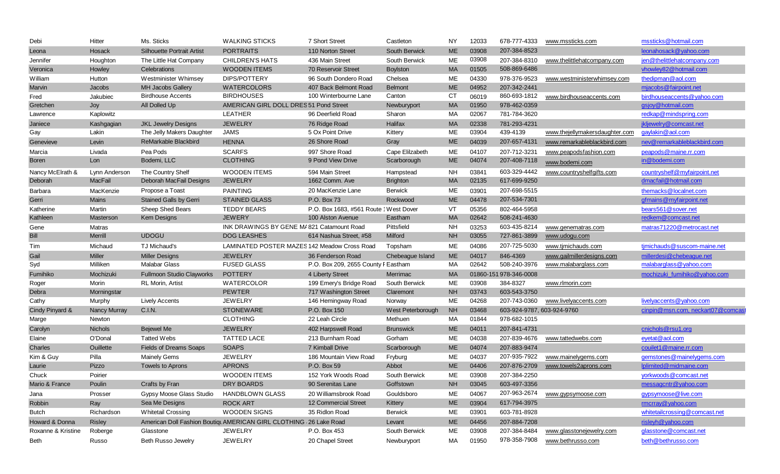| Debi               | Hitter              | Ms. Sticks                        | <b>WALKING STICKS</b>                                             | 7 Short Street                        | Castleton         | NY        | 12033 |                            | 678-777-4333 www.mssticks.com  | mssticks@hotmail.com             |
|--------------------|---------------------|-----------------------------------|-------------------------------------------------------------------|---------------------------------------|-------------------|-----------|-------|----------------------------|--------------------------------|----------------------------------|
| Leona              | Hosack              | <b>Silhouette Portrait Artist</b> | <b>PORTRAITS</b>                                                  | 110 Norton Street                     | South Berwick     | <b>ME</b> | 03908 | 207-384-8523               |                                | leonahosack@yahoo.com            |
| Jennifer           | Houghton            | The Little Hat Company            | <b>CHILDREN'S HATS</b>                                            | 436 Main Street                       | South Berwick     | ME        | 03908 | 207-384-8310               | www.thelittlehatcompany.com    | jen@thelittlehatcompany.com      |
| Veronica           | Howley              | Celebrations                      | <b>WOODEN ITEMS</b>                                               | 70 Reservoir Street                   | <b>Boylston</b>   | <b>MA</b> | 01505 | 508-869-6486               |                                | vhowley82@hotmail.com            |
| William            | Hutton              | Westminister Whimsey              | DIPS/POTTERY                                                      | 96 South Dondero Road                 | Chelsea           | <b>ME</b> | 04330 | 978-376-9523               | www.westministerwhimsey.com    | thedipman@aol.com                |
| Marvin             | Jacobs              | <b>MH Jacobs Gallery</b>          | <b>WATERCOLORS</b>                                                | 407 Back Belmont Road                 | <b>Belmont</b>    | <b>ME</b> | 04952 | 207-342-2441               |                                | mjacobs@fairpoint.net            |
| Fred               | Jakubiec            | <b>Birdhouse Accents</b>          | <b>BIRDHOUSES</b>                                                 | 100 Winterbourne Lane                 | Canton            | <b>CT</b> | 06019 | 860-693-1812               | www.birdhouseaccents.com       | birdhouseaccents@yahoo.com       |
| Gretchen           | Joy                 | All Dolled Up                     | AMERICAN GIRL DOLL DRES 51 Pond Street                            |                                       | Newburyport       | <b>MA</b> | 01950 | 978-462-0359               |                                | gsjoy@hotmail.com                |
| Lawrence           | Kaplowitz           |                                   | LEATHER                                                           | 96 Deerfield Road                     | Sharon            | MA        | 02067 | 781-784-3620               |                                | redkap@mindspring.com            |
| Janiece            | Kashgagian          | <b>JKL Jewelry Designs</b>        | <b>JEWELRY</b>                                                    | 76 Ridge Road                         | Halifax           | <b>MA</b> | 02338 | 781-293-4231               |                                | jkljewelry@comcast.net           |
| Gay                | Lakin               | The Jelly Makers Daughter         | <b>JAMS</b>                                                       | 5 Ox Point Drive                      | Kittery           | ME        | 03904 | 439-4139                   | www.thejellymakersdaughter.com | gaylakin@aol.com                 |
| Genevieve          | Levin               | ReMarkable Blackbird              | <b>HENNA</b>                                                      | 26 Shore Road                         | Gray              | <b>ME</b> | 04039 | 207-657-4131               | www.remarkableblackbird.com    | nev@remarkableblackbird.com      |
| Marcia             | Livada              | Pea Pods                          | <b>SCARFS</b>                                                     | 997 Shore Road                        | Cape Elilzabeth   | ME        | 04107 | 207-712-3231               | www.peapodsfashion.com         | peapods@maine.rr.com             |
| <b>Boren</b>       | Lon                 | Bodemi, LLC                       | <b>CLOTHING</b>                                                   | 9 Pond View Drive                     | Scarborough       | <b>ME</b> | 04074 | 207-408-7118               | www.bodemi.com                 | in@bodemi.com                    |
| Nancy McElrath &   | Lynn Anderson       | The Country Shelf                 | <b>WOODEN ITEMS</b>                                               | 594 Main Street                       | Hampstead         | <b>NH</b> | 03841 | 603-329-4442               | www.countryshelfgifts.com      | countryshelf@myfairpoint.net     |
| Deborah            | <b>MacFail</b>      | Deborah MacFail Designs           | <b>JEWELRY</b>                                                    | 1662 Comm. Ave                        | <b>Brighton</b>   | <b>MA</b> | 02135 | 617-699-9250               |                                | dmacfail@hotmail.com             |
| Barbara            | MacKenzie           | Propose a Toast                   | <b>PAINTING</b>                                                   | 20 MacKenzie Lane                     | <b>Berwick</b>    | ME        | 03901 | 207-698-5515               |                                | themacks@localnet.com            |
| Gerri              | Mains               | <b>Stained Galls by Gerri</b>     | <b>STAINED GLASS</b>                                              | P.O. Box 73                           | Rockwood          | <b>ME</b> | 04478 | 207-534-7301               |                                | gfmains@myfairpoint.net          |
| Katherine          | Martin              | Sheep Shed Bears                  | <b>TEDDY BEARS</b>                                                | P.O. Box 1683, #561 Route 1West Dover |                   | VT        | 05356 | 802-464-5958               |                                | bears561@sover.net               |
| Kathleen           | Masterson           | Kem Designs                       | <b>JEWERY</b>                                                     | 100 Alston Avenue                     | Eastham           | <b>MA</b> | 02642 | 508-241-4630               |                                | redkem@comcast.net               |
| Gene               | Matras              |                                   | INK DRAWINGS BY GENE M/821 Catamount Road                         |                                       | Pittsfield        | <b>NH</b> | 03253 | 603-435-8214               | www.genematras.com             | matras71220@metrocast.net        |
| <b>Bill</b>        | Merrill             | <b>UDOGU</b>                      | <b>DOG LEASHES</b>                                                | 614 Nashua Street, #58                | Milford           | <b>NH</b> | 03055 | 727-861-3899               | www.udogu.com                  |                                  |
| Tim                | Michaud             | TJ Michaud's                      | LAMINATED POSTER MAZES 142 Meadow Cross Road                      |                                       | Topsham           | ME        | 04086 | 207-725-5030               | www.tjmichauds.com             | timichauds@suscom-maine.net      |
| Gail               | Miller              | <b>Miller Designs</b>             | <b>JEWELRY</b>                                                    | 36 Fenderson Road                     | Chebeague Island  | <b>ME</b> | 04017 | 846-4369                   | www.gailmillerdesigns.com      | millerdesi@chebeague.net         |
| Syd                | Milliken            | <b>Malabar Glass</b>              | <b>FUSED GLASS</b>                                                | P.O. Box 209, 2655 County F Eastham   |                   | МA        | 02642 | 508-240-3976               | www.malabarglass.com           | malabarglass@yahoo.com           |
| Fumihiko           | Mochizuki           | <b>Fullmoon Studio Clayworks</b>  | POTTERY                                                           | 4 Liberty Street                      | Merrimac          | <b>MA</b> |       | 01860-151 978-346-0008     |                                | mochizuki fumihiko@yahoo.com     |
| Roger              | Morin               | <b>RL Morin, Artist</b>           | WATERCOLOR                                                        | 199 Emery's Bridge Road               | South Berwick     | ME        | 03908 | 384-8327                   | www.rlmorin.com                |                                  |
| Debra              | Morningstar         |                                   | <b>PEWTER</b>                                                     | 717 Washington Street                 | Claremont         | <b>NH</b> | 03743 | 603-543-3750               |                                |                                  |
| Cathy              | Murphy              | <b>Lively Accents</b>             | <b>JEWELRY</b>                                                    | 146 Hemingway Road                    | Norway            | ME        | 04268 | 207-743-0360               | www.livelyaccents.com          | livelyaccents@yahoo.com          |
| Cindy Pinyard &    | <b>Nancy Murray</b> | C.I.N.                            | <b>STONEWARE</b>                                                  | P.O. Box 150                          | West Peterborough | <b>NH</b> | 03468 | 603-924-9787, 603-924-9760 |                                | cinpin@msn.com, neckart07@comcas |
| Marge              | Newton              |                                   | <b>CLOTHING</b>                                                   | 22 Leah Circle                        | Methuen           | МA        | 01844 | 978-682-1015               |                                |                                  |
| Carolyn            | Nichols             | <b>Bejewel Me</b>                 | <b>JEWELRY</b>                                                    | 402 Harpswell Road                    | <b>Brunswick</b>  | <b>ME</b> | 04011 | 207-841-4731               |                                | cnichols@rsu1.org                |
| Elaine             | O'Donal             | <b>Tatted Webs</b>                | <b>TATTED LACE</b>                                                | 213 Burnham Road                      | Gorham            | ME        | 04038 | 207-839-4676               | www.tattedwebs.com             | eyetat@aol.com                   |
| Charles            | Ouillette           | <b>Fields of Dreams Soaps</b>     | <b>SOAPS</b>                                                      | <b>7 Kimball Drive</b>                | Scarborough       | <b>ME</b> | 04074 | 207-883-9474               |                                | couilet1@maine.rr.com            |
| Kim & Guy          | Pilla               | <b>Mainely Gems</b>               | <b>JEWELRY</b>                                                    | 186 Mountain View Road                | Fryburg           | ME        | 04037 | 207-935-7922               | www.mainelygems.com            | gemstones@mainelygems.com        |
| Laurie             | Pizzo               | <b>Towels to Aprons</b>           | <b>APRONS</b>                                                     | P.O. Box 59                           | Abbot             | <b>ME</b> | 04406 | 207-876-2709               | www.towels2aprons.com          | lplimited@midmaine.com           |
| Chuck              | Poirier             |                                   | <b>WOODEN ITEMS</b>                                               | 152 York Woods Road                   | South Berwick     | ME        | 03908 | 207-384-2250               |                                | yorkwoods@comcast.net            |
| Mario & France     | Poulin              | Crafts by Fran                    | DRY BOARDS                                                        | 90 Serenitas Lane                     | Goffstown         | <b>NH</b> | 03045 | 603-497-3356               |                                | messagcntr@yahoo.com             |
| Jana               | Prosser             | Gypsy Moose Glass Studio          | <b>HANDBLOWN GLASS</b>                                            | 20 Williamsbrook Road                 | Gouldsboro        | ME        | 04067 | 207-963-2674               | www.gypsymoose.com             | gypsymoose@live.com              |
| Robbin             | Ray                 | Sea Me Designs                    | <b>ROCK ART</b>                                                   | 12 Commercial Street                  | Kittery           | <b>ME</b> | 03904 | 617-794-3975               |                                | rmcrray@yahoo.com                |
| <b>Butch</b>       | Richardson          | <b>Whitetail Crossing</b>         | <b>WOODEN SIGNS</b>                                               | 35 Ridlon Road                        | <b>Berwick</b>    | ME        | 03901 | 603-781-8928               |                                | whitetailcrossing@comcast.net    |
| Howard & Donna     | <b>Risley</b>       |                                   | American Doll Fashion Boutiqu AMERICAN GIRL CLOTHING 26 Lake Road |                                       | Levant            | <b>ME</b> | 04456 | 207-884-7208               |                                | risleyh@yahoo.com                |
| Roxanne & Kristine | Roberge             | Glasstone                         | <b>JEWELRY</b>                                                    | P.O. Box 453                          | South Berwick     | ME        | 03908 | 207-384-8484               | www.glasstonejewelry.com       | glasstone@comcast.net            |
| Beth               | Russo               | Beth Russo Jewelry                | <b>JEWELRY</b>                                                    | 20 Chapel Street                      | Newburyport       | MA        | 01950 | 978-358-7908               | www.bethrusso.com              | beth@bethrusso.com               |